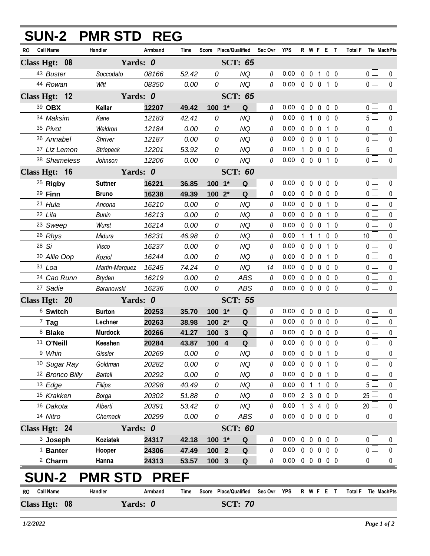|                                          | Handler             | Armband | <b>Time</b>    |               | Score Place/Qualified                   | Sec Ovr YPS |                            |             |                   | R W F E T         |                |    | Total F Tie MachPts           |              |
|------------------------------------------|---------------------|---------|----------------|---------------|-----------------------------------------|-------------|----------------------------|-------------|-------------------|-------------------|----------------|----|-------------------------------|--------------|
| <b>Call Name</b><br>RO.<br>Class Hgt: 08 | Yards: 0            |         |                |               | <b>SCT: 65</b>                          |             |                            |             |                   |                   |                |    |                               |              |
| 43 Buster                                | Soccodato           | 08166   | 52.42          | 0             | <b>NQ</b>                               | 0           | 0.00                       |             | $0\quad 0$        | $\mathbf{1}$      | 0 <sub>0</sub> |    | 0 <sub>1</sub>                | $\mathbf 0$  |
| 44 Rowan                                 | Witt                | 08350   | 0.00           | 0             | <b>NQ</b>                               | 0           | 0.00                       |             | $0\quad 0\quad 0$ |                   | 1 0            |    | $\overline{0}$                | $\mathbf 0$  |
| Class Hgt: 12                            | Yards: 0            |         |                |               | <b>SCT: 65</b>                          |             |                            |             |                   |                   |                |    |                               |              |
| 39 OBX                                   | Kellar              | 12207   | 49.42          | $100 - 1*$    | Q                                       | $\theta$    | 0.00                       | $\mathbf 0$ | $\overline{0}$    | $\mathbf 0$       | 0 <sub>0</sub> |    | 0 <sub>1</sub>                | 0            |
| 34 Maksim                                | Kane                | 12183   | 42.41          | 0             | <b>NQ</b>                               | 0           | 0.00                       |             |                   | 0 1 0 0 0         |                |    | 5 <sub>1</sub>                | 0            |
| 35 Pivot                                 | Waldron             | 12184   | 0.00           | 0             | <b>NQ</b>                               | 0           | 0.00                       |             | $0\quad 0$        | $\mathbf{0}$      | 1 0            |    | 0 <sub>0</sub>                | 0            |
| 36 Annabel                               | Shriver             | 12187   | 0.00           | 0             | <b>NQ</b>                               | 0           | 0.00                       |             | $0\quad 0$        | $\mathbf 0$       | 1              | -0 | $\overline{0}$                | $\mathbf 0$  |
| 37 Liz Lemon                             | Striepeck           | 12201   | 53.92          | 0             | <b>NQ</b>                               | $\theta$    | 0.00                       |             | $1\quad 0$        | $\mathbf 0$       | 0 <sub>0</sub> |    | 5 <sub>1</sub>                | $\pmb{0}$    |
| 38 Shameless                             | Johnson             | 12206   | 0.00           | 0             | <b>NQ</b>                               | 0           | 0.00                       |             | $0\quad 0\quad 0$ |                   | 1 0            |    | $\overline{0}$                | $\mathbf 0$  |
| Class Hgt: 16                            | Yards: 0            |         |                |               | <b>SCT: 60</b>                          |             |                            |             |                   |                   |                |    |                               |              |
| <sup>25</sup> Rigby                      | <b>Suttner</b>      | 16221   | 36.85          | 100 1*        | $\mathbf Q$                             | 0           | 0.00                       | $\mathbf 0$ | $\mathbf 0$       | $\mathbf 0$       | 0 <sub>0</sub> |    | 0 <sub>1</sub>                | $\mathbf{0}$ |
| $29$ Finn                                | <b>Bruno</b>        | 16238   | 49.39          | $1002*$       | Q                                       | 0           | 0.00                       |             | $0\quad 0$        | $0\quad 0\quad 0$ |                |    | $\overline{0}$                | $\mathbf 0$  |
| 21 Hula                                  | Ancona              | 16210   | 0.00           | 0             | <b>NQ</b>                               | 0           | 0.00                       |             | $0\quad 0$        | $\mathbf{0}$      | $1\quad0$      |    | $\overline{0}$                | $\mathbf{0}$ |
| 22 Lila                                  | <b>Bunin</b>        | 16213   | 0.00           | 0             | <b>NQ</b>                               | 0           | 0.00                       |             | $0\quad 0$        | $\mathbf 0$       | 1 0            |    | $\overline{0}$                | $\mathbf 0$  |
| <sup>23</sup> Sweep                      | Wurst               | 16214   | 0.00           | $\mathcal{O}$ | <b>NQ</b>                               | 0           | 0.00                       |             | $0\quad 0$        | $\mathbf{0}$      | $1\quad0$      |    | 0 <sup>1</sup>                | 0            |
| 26 Rhys                                  | Midura              | 16231   | 46.98          | 0             | <b>NQ</b>                               | 0           | 0.00                       |             | $1\quad1$         | $\overline{1}$    | $0\quad 0$     |    | 10 <sup>1</sup>               | 0            |
| 28 Si                                    | Visco               | 16237   | 0.00           | 0             | <b>NQ</b>                               | 0           | 0.00                       |             | $0\quad 0$        | 0                 | $1\quad0$      |    | 0 <sup>1</sup>                | 0            |
| 30 Allie Oop                             | Koziol              | 16244   | 0.00           | 0             | <b>NQ</b>                               | 0           | 0.00                       |             | $0\quad 0$        | $\mathbf 0$       | 10             |    | $\overline{0}$                | $\mathbf 0$  |
| 31 Loa                                   | Martin-Marquez      | 16245   | 74.24          | 0             | <b>NQ</b>                               | 14          | 0.00                       |             | $0\quad 0$        | 0                 | 0 <sub>0</sub> |    | 0 <sup>1</sup>                | $\mathbf 0$  |
| 24 Cao Runn                              | Bryden              | 16219   | 0.00           | 0             | <b>ABS</b>                              | 0           | 0.00                       |             | $0\quad 0$        | $\mathbf{0}$      | 0 <sub>0</sub> |    | $\overline{0}$                | $\pmb{0}$    |
| 27 Sadie                                 | Baranowski          | 16236   | 0.00           | 0             | <b>ABS</b>                              | 0           | 0.00                       |             | $0\quad 0\quad 0$ |                   | 0 <sub>0</sub> |    | $\overline{0}$                | $\mathbf{0}$ |
| Class Hgt: 20                            | Yards: 0            |         |                |               | <b>SCT: 55</b>                          |             |                            |             |                   |                   |                |    |                               |              |
| 6 Switch                                 | <b>Burton</b>       | 20253   | 35.70          | $100 - 1*$    | Q                                       | 0           | 0.00                       | $\mathbf 0$ | $\overline{0}$    | $\mathbf 0$       | 0 <sub>0</sub> |    | 0 <sub>0</sub>                | 0            |
| $7$ Tag                                  | Lechner             | 20263   | 38.98          | 100 2*        | Q                                       | 0           | 0.00                       |             | $0\quad 0$        | $\mathbf 0$       | 0 <sub>0</sub> |    | $\overline{0}$                | $\pmb{0}$    |
| 8 Blake                                  | <b>Murdock</b>      | 20266   | 41.27          | 100 3         | $\mathbf Q$                             | 0           | 0.00                       |             |                   | 00000             |                |    | $\overline{0}$                | $\mathbf 0$  |
| <sup>11</sup> O'Neill                    | Keeshen             | 20284   | 43.87          | 100 4         | Q                                       | 0           | $0.00 \t0 \t0 \t0 \t0 \t0$ |             |                   |                   |                |    | $\overline{0}$                | $\mathbf 0$  |
| 9 Whin                                   | Gissler             | 20269   | 0.00           | 0             | NQ                                      | 0           | 0.00                       |             | $0\quad 0$        | $\mathbf 0$       | $1\quad0$      |    | $\overline{0}$                | 0            |
| 10 Sugar Ray                             | Goldman             | 20282   | 0.00           | 0             | <b>NQ</b>                               | 0           | 0.00                       |             | $0\quad 0$        | $\mathbf 0$       | 1 0            |    | 0 <sub>0</sub>                | 0            |
| 12 Bronco Billy                          | <b>Bartell</b>      | 20292   | 0.00           | 0             | <b>NQ</b>                               | 0           | 0.00                       |             | $0\quad 0$        | $\mathbf 0$       | 1 0            |    | 0 <sup>1</sup>                | $\mathbf 0$  |
| 13 Edge                                  | Fillips             | 20298   | 40.49          | 0             | <b>NQ</b>                               | 0           | 0.00                       |             | 0 <sub>1</sub>    | $\mathbf{1}$      | 0 <sub>0</sub> |    | 5 <sub>1</sub>                | $\mathbf 0$  |
| 15 Krakken                               | Borga               | 20302   | 51.88          | 0             | <b>NQ</b>                               | 0           | 0.00                       |             |                   | 2 3 0 0 0         |                |    | $25 \Box$                     | 0            |
| 16 Dakota                                | Alberti             | 20391   | 53.42          | 0             | <b>NQ</b>                               | 0           | 0.00                       |             | $1 \quad 3$       | 4 0 0             |                |    | 20                            | 0            |
| 14 Nitro                                 | Chernack            | 20299   | 0.00           | 0             | ABS                                     | 0           | 0.00                       |             |                   | 00000             |                |    | $\overline{0}$                | $\mathbf 0$  |
| Class Hgt: 24                            | Yards: 0            |         | <b>SCT: 60</b> |               |                                         |             |                            |             |                   |                   |                |    |                               |              |
| <sup>3</sup> Joseph                      | <b>Koziatek</b>     | 24317   | 42.18          | 100 1*        | Q                                       | 0           | 0.00                       |             | $0\quad 0$        | $\mathbf 0$       | $0\quad 0$     |    | 0 <sub>1</sub>                | 0            |
| <sup>1</sup> Banter                      | Hooper              | 24306   | 47.49          | 100 2         | Q                                       | 0           | 0.00                       |             |                   | 0 0 0 0 0         |                |    | $\overline{0}$                | $\pmb{0}$    |
| <sup>2</sup> Charm                       | Hanna               | 24313   | 53.57          | 100 3         | $\mathbf Q$                             | 0           | $0.00 \t0 \t0 \t0 \t0 \t0$ |             |                   |                   |                |    | 0 <sub>0</sub>                | $\mathbf 0$  |
| <b>SUN-2</b>                             | <b>PMR STD PREF</b> |         |                |               |                                         |             |                            |             |                   |                   |                |    |                               |              |
| <b>Call Name</b><br>RO<br>Class Hgt: 08  | Handler<br>Yards: 0 | Armband | Time           |               | Score Place/Qualified<br><b>SCT: 70</b> | Sec Ovr YPS |                            |             |                   | R W F E T         |                |    | <b>Total F</b><br>Tie MachPts |              |